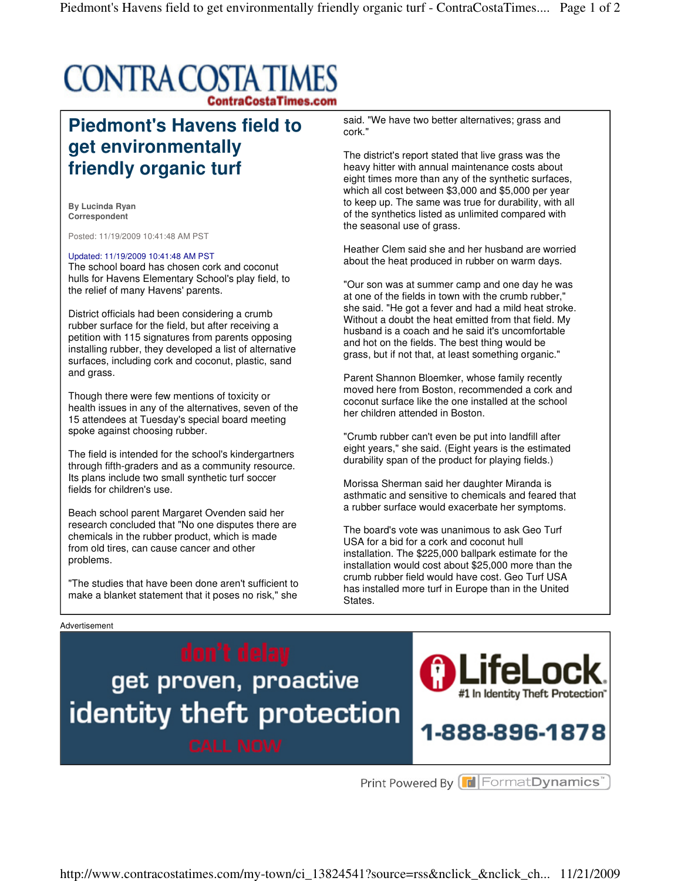## **CONTRA COSTA TIMES ContraCostaTimes.com**

## **Piedmont's Havens field to get environmentally friendly organic turf**

**By Lucinda Ryan Correspondent** 

Posted: 11/19/2009 10:41:48 AM PST

## Updated: 11/19/2009 10:41:48 AM PST

The school board has chosen cork and coconut hulls for Havens Elementary School's play field, to the relief of many Havens' parents.

District officials had been considering a crumb rubber surface for the field, but after receiving a petition with 115 signatures from parents opposing installing rubber, they developed a list of alternative surfaces, including cork and coconut, plastic, sand and grass.

Though there were few mentions of toxicity or health issues in any of the alternatives, seven of the 15 attendees at Tuesday's special board meeting spoke against choosing rubber.

The field is intended for the school's kindergartners through fifth-graders and as a community resource. Its plans include two small synthetic turf soccer fields for children's use.

Beach school parent Margaret Ovenden said her research concluded that "No one disputes there are chemicals in the rubber product, which is made from old tires, can cause cancer and other problems.

"The studies that have been done aren't sufficient to make a blanket statement that it poses no risk," she

said. "We have two better alternatives; grass and cork."

The district's report stated that live grass was the heavy hitter with annual maintenance costs about eight times more than any of the synthetic surfaces, which all cost between \$3,000 and \$5,000 per year to keep up. The same was true for durability, with all of the synthetics listed as unlimited compared with the seasonal use of grass.

Heather Clem said she and her husband are worried about the heat produced in rubber on warm days.

"Our son was at summer camp and one day he was at one of the fields in town with the crumb rubber," she said. "He got a fever and had a mild heat stroke. Without a doubt the heat emitted from that field. My husband is a coach and he said it's uncomfortable and hot on the fields. The best thing would be grass, but if not that, at least something organic."

Parent Shannon Bloemker, whose family recently moved here from Boston, recommended a cork and coconut surface like the one installed at the school her children attended in Boston.

"Crumb rubber can't even be put into landfill after eight years," she said. (Eight years is the estimated durability span of the product for playing fields.)

Morissa Sherman said her daughter Miranda is asthmatic and sensitive to chemicals and feared that a rubber surface would exacerbate her symptoms.

The board's vote was unanimous to ask Geo Turf USA for a bid for a cork and coconut hull installation. The \$225,000 ballpark estimate for the installation would cost about \$25,000 more than the crumb rubber field would have cost. Geo Turf USA has installed more turf in Europe than in the United States.



http://www.contracostatimes.com/my-town/ci\_13824541?source=rss&nclick\_&nclick\_ch... 11/21/2009